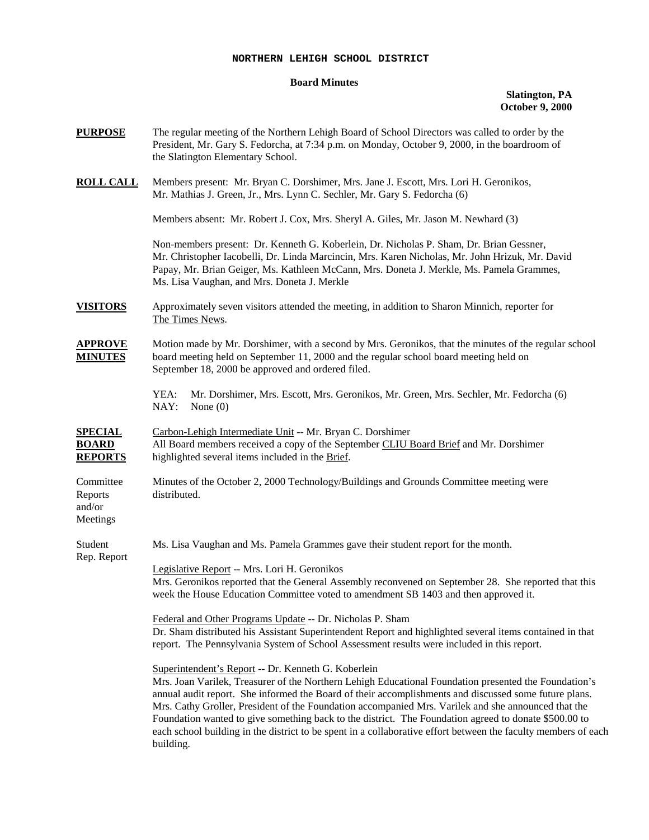## **NORTHERN LEHIGH SCHOOL DISTRICT**

## **Board Minutes**

## **Slatington, PA October 9, 2000**

| <b>PURPOSE</b>                                   | The regular meeting of the Northern Lehigh Board of School Directors was called to order by the<br>President, Mr. Gary S. Fedorcha, at 7:34 p.m. on Monday, October 9, 2000, in the boardroom of<br>the Slatington Elementary School.                                                                                                                                                                                                                                                                                                                                                                                |  |
|--------------------------------------------------|----------------------------------------------------------------------------------------------------------------------------------------------------------------------------------------------------------------------------------------------------------------------------------------------------------------------------------------------------------------------------------------------------------------------------------------------------------------------------------------------------------------------------------------------------------------------------------------------------------------------|--|
| <b>ROLL CALL</b>                                 | Members present: Mr. Bryan C. Dorshimer, Mrs. Jane J. Escott, Mrs. Lori H. Geronikos,<br>Mr. Mathias J. Green, Jr., Mrs. Lynn C. Sechler, Mr. Gary S. Fedorcha (6)                                                                                                                                                                                                                                                                                                                                                                                                                                                   |  |
|                                                  | Members absent: Mr. Robert J. Cox, Mrs. Sheryl A. Giles, Mr. Jason M. Newhard (3)                                                                                                                                                                                                                                                                                                                                                                                                                                                                                                                                    |  |
|                                                  | Non-members present: Dr. Kenneth G. Koberlein, Dr. Nicholas P. Sham, Dr. Brian Gessner,<br>Mr. Christopher Iacobelli, Dr. Linda Marcincin, Mrs. Karen Nicholas, Mr. John Hrizuk, Mr. David<br>Papay, Mr. Brian Geiger, Ms. Kathleen McCann, Mrs. Doneta J. Merkle, Ms. Pamela Grammes,<br>Ms. Lisa Vaughan, and Mrs. Doneta J. Merkle                                                                                                                                                                                                                                                                                |  |
| <b>VISITORS</b>                                  | Approximately seven visitors attended the meeting, in addition to Sharon Minnich, reporter for<br>The Times News.                                                                                                                                                                                                                                                                                                                                                                                                                                                                                                    |  |
| <b>APPROVE</b><br><b>MINUTES</b>                 | Motion made by Mr. Dorshimer, with a second by Mrs. Geronikos, that the minutes of the regular school<br>board meeting held on September 11, 2000 and the regular school board meeting held on<br>September 18, 2000 be approved and ordered filed.                                                                                                                                                                                                                                                                                                                                                                  |  |
|                                                  | YEA:<br>Mr. Dorshimer, Mrs. Escott, Mrs. Geronikos, Mr. Green, Mrs. Sechler, Mr. Fedorcha (6)<br>NAY:<br>None $(0)$                                                                                                                                                                                                                                                                                                                                                                                                                                                                                                  |  |
| <b>SPECIAL</b><br><b>BOARD</b><br><b>REPORTS</b> | Carbon-Lehigh Intermediate Unit -- Mr. Bryan C. Dorshimer<br>All Board members received a copy of the September CLIU Board Brief and Mr. Dorshimer<br>highlighted several items included in the Brief.                                                                                                                                                                                                                                                                                                                                                                                                               |  |
| Committee<br>Reports<br>and/or<br>Meetings       | Minutes of the October 2, 2000 Technology/Buildings and Grounds Committee meeting were<br>distributed.                                                                                                                                                                                                                                                                                                                                                                                                                                                                                                               |  |
| Student<br>Rep. Report                           | Ms. Lisa Vaughan and Ms. Pamela Grammes gave their student report for the month.                                                                                                                                                                                                                                                                                                                                                                                                                                                                                                                                     |  |
|                                                  | Legislative Report -- Mrs. Lori H. Geronikos<br>Mrs. Geronikos reported that the General Assembly reconvened on September 28. She reported that this<br>week the House Education Committee voted to amendment SB 1403 and then approved it.                                                                                                                                                                                                                                                                                                                                                                          |  |
|                                                  | Federal and Other Programs Update -- Dr. Nicholas P. Sham<br>Dr. Sham distributed his Assistant Superintendent Report and highlighted several items contained in that<br>report. The Pennsylvania System of School Assessment results were included in this report.                                                                                                                                                                                                                                                                                                                                                  |  |
|                                                  | Superintendent's Report -- Dr. Kenneth G. Koberlein<br>Mrs. Joan Varilek, Treasurer of the Northern Lehigh Educational Foundation presented the Foundation's<br>annual audit report. She informed the Board of their accomplishments and discussed some future plans.<br>Mrs. Cathy Groller, President of the Foundation accompanied Mrs. Varilek and she announced that the<br>Foundation wanted to give something back to the district. The Foundation agreed to donate \$500.00 to<br>each school building in the district to be spent in a collaborative effort between the faculty members of each<br>building. |  |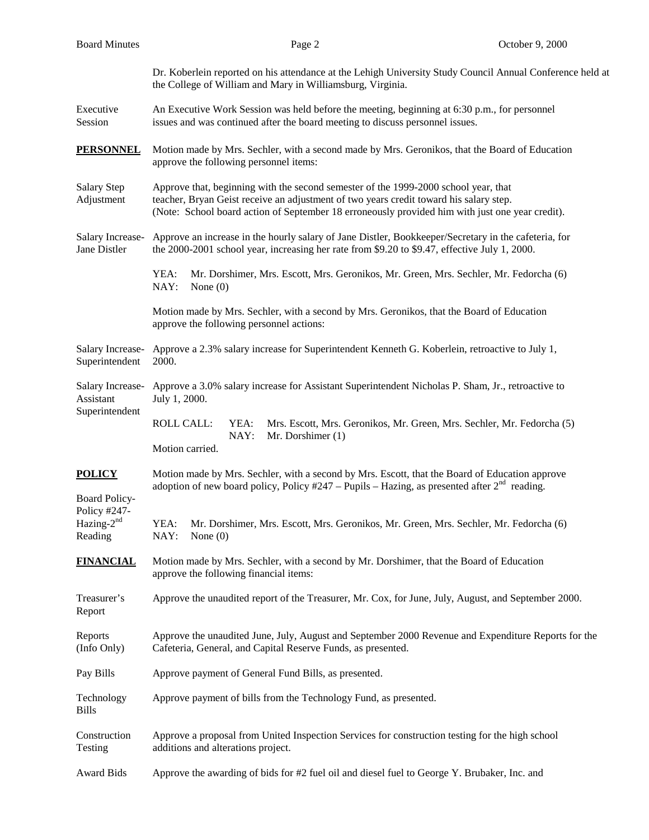| <b>Board Minutes</b>                                             | Page 2                                                                                                                                                                                                                                                                           | October 9, 2000 |  |
|------------------------------------------------------------------|----------------------------------------------------------------------------------------------------------------------------------------------------------------------------------------------------------------------------------------------------------------------------------|-----------------|--|
|                                                                  | Dr. Koberlein reported on his attendance at the Lehigh University Study Council Annual Conference held at<br>the College of William and Mary in Williamsburg, Virginia.                                                                                                          |                 |  |
| Executive<br>Session                                             | An Executive Work Session was held before the meeting, beginning at 6:30 p.m., for personnel<br>issues and was continued after the board meeting to discuss personnel issues.                                                                                                    |                 |  |
| <b>PERSONNEL</b>                                                 | Motion made by Mrs. Sechler, with a second made by Mrs. Geronikos, that the Board of Education<br>approve the following personnel items:                                                                                                                                         |                 |  |
| Salary Step<br>Adjustment                                        | Approve that, beginning with the second semester of the 1999-2000 school year, that<br>teacher, Bryan Geist receive an adjustment of two years credit toward his salary step.<br>(Note: School board action of September 18 erroneously provided him with just one year credit). |                 |  |
| Salary Increase-<br>Jane Distler                                 | Approve an increase in the hourly salary of Jane Distler, Bookkeeper/Secretary in the cafeteria, for<br>the 2000-2001 school year, increasing her rate from \$9.20 to \$9.47, effective July 1, 2000.                                                                            |                 |  |
|                                                                  | YEA:<br>Mr. Dorshimer, Mrs. Escott, Mrs. Geronikos, Mr. Green, Mrs. Sechler, Mr. Fedorcha (6)<br>NAY:<br>None $(0)$                                                                                                                                                              |                 |  |
|                                                                  | Motion made by Mrs. Sechler, with a second by Mrs. Geronikos, that the Board of Education<br>approve the following personnel actions:                                                                                                                                            |                 |  |
| Salary Increase-<br>Superintendent                               | Approve a 2.3% salary increase for Superintendent Kenneth G. Koberlein, retroactive to July 1,<br>2000.                                                                                                                                                                          |                 |  |
| Salary Increase-<br>Assistant<br>Superintendent                  | Approve a 3.0% salary increase for Assistant Superintendent Nicholas P. Sham, Jr., retroactive to<br>July 1, 2000.                                                                                                                                                               |                 |  |
|                                                                  | <b>ROLL CALL:</b><br>Mrs. Escott, Mrs. Geronikos, Mr. Green, Mrs. Sechler, Mr. Fedorcha (5)<br>YEA:<br>NAY:<br>Mr. Dorshimer (1)<br>Motion carried.                                                                                                                              |                 |  |
| <b>POLICY</b>                                                    | Motion made by Mrs. Sechler, with a second by Mrs. Escott, that the Board of Education approve<br>adoption of new board policy, Policy #247 – Pupils – Hazing, as presented after $2nd$ reading.                                                                                 |                 |  |
| <b>Board Policy-</b><br>Policy #247-<br>Hazing- $2nd$<br>Reading | Mr. Dorshimer, Mrs. Escott, Mrs. Geronikos, Mr. Green, Mrs. Sechler, Mr. Fedorcha (6)<br>YEA:<br>NAY:<br>None $(0)$                                                                                                                                                              |                 |  |
| <b>FINANCIAL</b>                                                 | Motion made by Mrs. Sechler, with a second by Mr. Dorshimer, that the Board of Education<br>approve the following financial items:                                                                                                                                               |                 |  |
| Treasurer's<br>Report                                            | Approve the unaudited report of the Treasurer, Mr. Cox, for June, July, August, and September 2000.                                                                                                                                                                              |                 |  |
| Reports<br>(Info Only)                                           | Approve the unaudited June, July, August and September 2000 Revenue and Expenditure Reports for the<br>Cafeteria, General, and Capital Reserve Funds, as presented.                                                                                                              |                 |  |
| Pay Bills                                                        | Approve payment of General Fund Bills, as presented.                                                                                                                                                                                                                             |                 |  |
| Technology<br><b>Bills</b>                                       | Approve payment of bills from the Technology Fund, as presented.                                                                                                                                                                                                                 |                 |  |
| Construction<br>Testing                                          | Approve a proposal from United Inspection Services for construction testing for the high school<br>additions and alterations project.                                                                                                                                            |                 |  |
| <b>Award Bids</b>                                                | Approve the awarding of bids for #2 fuel oil and diesel fuel to George Y. Brubaker, Inc. and                                                                                                                                                                                     |                 |  |